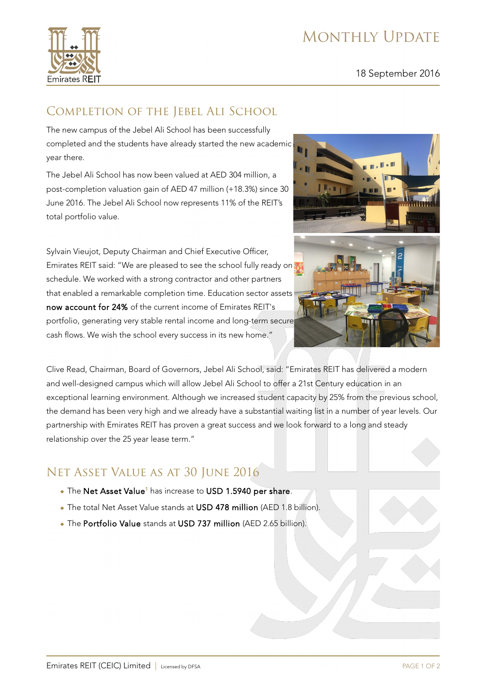# MONTHLY UPDATE



#### 18 September 2016

## COMPLETION OF THE JEBEL ALI SCHOOL

The new campus of the Jebel Ali School has been successfully completed and the students have already started the new academic year there.

The Jebel Ali School has now been valued at AED 304 million, a post-completion valuation gain of AED 47 million (+18.3%) since 30 June 2016. The Jebel Ali School now represents 11% of the REIT's total portfolio value.

Sylvain Vieujot, Deputy Chairman and Chief Executive Officer, Emirates REIT said: "We are pleased to see the school fully ready on schedule. We worked with a strong contractor and other partners that enabled a remarkable completion time. Education sector assets now account for 24% of the current income of Emirates REIT's portfolio, generating very stable rental income and long-term secure cash flows. We wish the school every success in its new home."



Clive Read, Chairman, Board of Governors, Jebel Ali School, said: "Emirates REIT has delivered a modern and well-designed campus which will allow Jebel Ali School to offer a 21st Century education in an exceptional learning environment. Although we increased student capacity by 25% from the previous school, the demand has been very high and we already have a substantial waiting list in a number of year levels. Our partnership with Emirates REIT has proven a great success and we look forward to a long and steady relationship over the 25 year lease term."

## Net Asset Value as at 30 June 2016

- $\bullet$  The Net Asset Value<sup>1</sup> has increase to USD 1.5940 per share.
- The total Net Asset Value stands at USD 478 million (AED 1.8 billion).
- The Portfolio Value stands at USD 737 million (AED 2.65 billion).